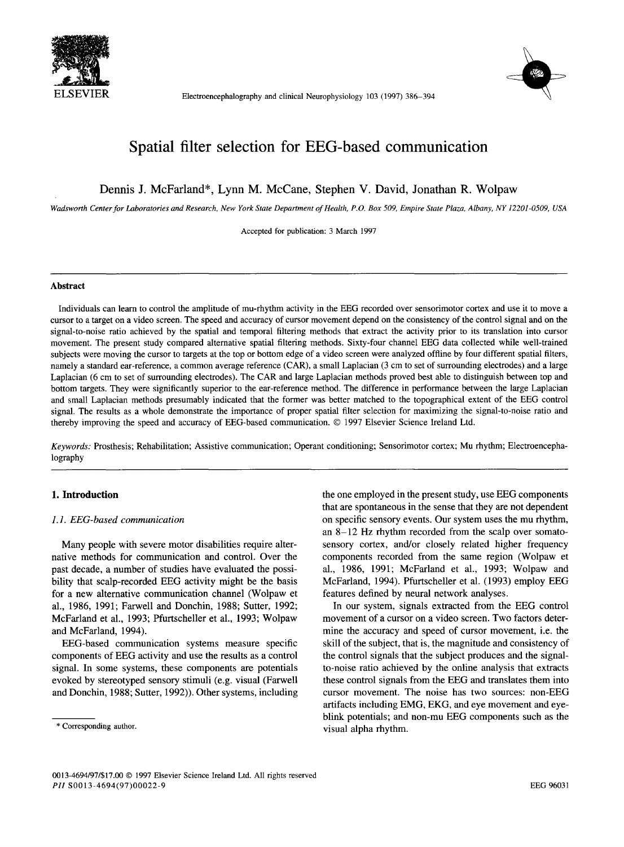

**ELSEVIER** Electroencephalography and clinical Neurophysiology 103 (1997) 386-394



# **Spatial filter selection for EEG-based communication**

Dennis J. McFarland\*, Lynn **M.** McCane, Stephen V. David, Jonathan **R.** Wolpaw

*Wadsworth Center for Laboratories and Research, New York State Department of Health, P.O. Box 509, Empire State Plaza, Albany, NY 12201-0509, USA* 

Accepted for publication: 3 March 1997

#### **Abstract**

Individuals can learn to control the amplitude of mu-rhythm activity in the EEG recorded over sensorimotor cortex and use it to move a cursor to a target on a video screen. The speed and accuracy of cursor movement depend on the consistency of the control signal and on the signal-to-noise ratio achieved by the spatial and temporal filtering methods that extract the activity prior to its translation into cursor movement. The present study compared alternative spatial filtering methods. Sixty-four channel EEG data collected while well-trained subjects were moving the cursor to targets at the top or bottom edge of a video screen were analyzed offline by four different spatial filters, namely a standard ear-reference, a common average reference (CAR), a small Laplacian (3 cm to set of surrounding electrodes) and a large Laplacian (6 cm to set of surrounding electrodes). The CAR and large Laplacian methods proved best able to distinguish between top and bottom targets. They were significantly superior to the ear-reference method. The difference in performance between the large Laplacian and small Laplacian methods presumably indicated that the former was better matched to the topographical extent of the EEG control signal. The results as a whole demonstrate the importance of proper spatial filter selection for maximizing the signal-to-noise ratio and thereby improving the speed and accuracy of EEG-based communication. © 1997 Elsevier Science Ireland Ltd.

*Keywords:* Prosthesis; Rehabilitation; Assistive communication; Operant conditioning; Sensorimotor cortex; Mu rhythm; Electroencephalography

## **1. Introduction**

### *1.1. EEG-based communication*

Many people with severe motor disabilities require alternative methods for communication and control. Over the past decade, a number of studies have evaluated the possibility that scalp-recorded EEG activity might be the basis for a new alternative communication channel (Wolpaw et al., 1986, 1991; Farwell and Donchin, 1988; Sutter, 1992; McFarland et al., 1993; Pfurtscheller et al., 1993; Wolpaw and McFarland, 1994).

EEG-based communication systems measure specific components of EEG activity and use the results as a control signal. In some systems, these components are potentials evoked by stereotyped sensory stimuli (e.g. visual (Farwell and Donchin, 1988; Sutter, 1992)). Other systems, including the one employed in the present study, use EEG components that are spontaneous in the sense that they are not dependent on specific sensory events. Our system uses the mu rhythm, an 8-12 Hz rhythm recorded from the scalp over somatosensory cortex, and/or closely related higher frequency components recorded from the same region (Wolpaw et al., 1986, 1991; McFarland et al., 1993; Wolpaw and McFarland, 1994). Pfurtscheller et al. (1993) employ EEG features defined by neural network analyses.

In our system, signals extracted from the EEG control movement of a cursor on a video screen. Two factors determine the accuracy and speed of cursor movement, i.e. the skill of the subject, that is, the magnitude and consistency of the control signals that the subject produces and the signalto-noise ratio achieved by the online analysis that extracts these control signals from the EEG and translates them into cursor movement. The noise has two sources: non-EEG artifacts including EMG, EKG, and eye movement and eyeblink potentials; and non-mu EEG components such as the visual alpha rhythm.

<sup>\*</sup> Corresponding author.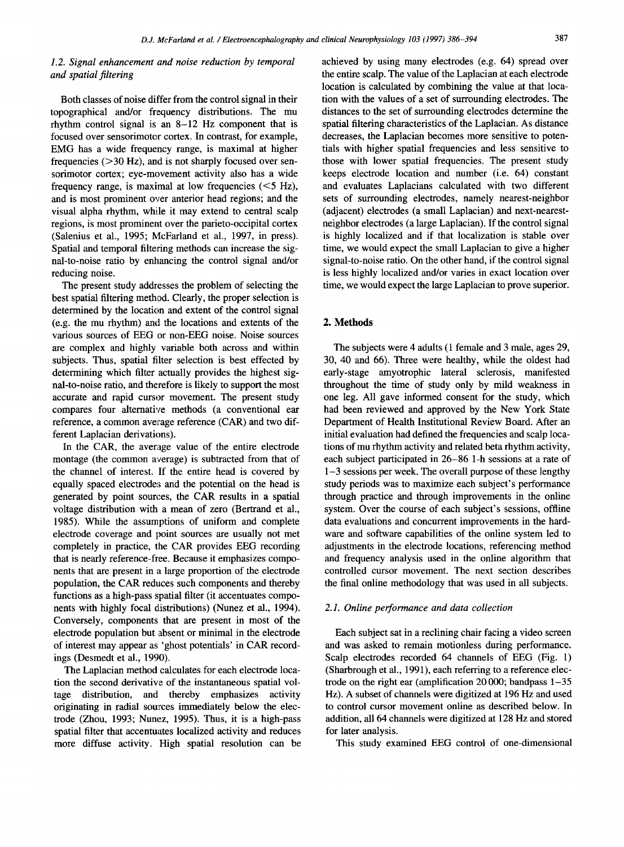# *1.2. Signal enhancement and noise reduction by temporal and spatial filtering*

Both classes of noise differ from the control signal in their topographical and/or frequency distributions. The mu rhythm control signal is an 8-12 Hz component that is focused over sensorimotor cortex. In contrast, for example, EMG has a wide frequency range, is maximal at higher frequencies  $(>30$  Hz), and is not sharply focused over sensorimotor cortex; eye-movement activity also has a wide frequency range, is maximal at low frequencies  $(<5$  Hz), and is most prominent over anterior head regions; and the visual alpha rhythm, while it may extend to central scalp regions, is most prominent over the parieto-occipital cortex (Salenius et al., 1995; McFarland et al., 1997, in press). Spatial and temporal filtering methods can increase the signal-to-noise ratio by enhancing the control signal and/or reducing noise.

The present study addresses the problem of selecting the best spatial filtering method. Clearly, the proper selection is determined by the location and extent of the control signal (e.g. the mu rhythm) and the locations and extents of the various sources of EEG or non-EEG noise. Noise sources are complex and highly variable both across and within subjects. Thus, spatial filter selection is best effected by determining which filter actually provides the highest signal-to-noise ratio, and therefore is likely to support the most accurate and rapid cursor movement. The present study compares four alternative methods (a conventional ear reference, a common average reference (CAR) and two different Laplacian derivations).

In the CAR, the average value of the entire electrode montage (the common average) is subtracted from that of the channel of interest. If the entire head is covered by equally spaced electrodes and the potential on the head is generated by point sources, the CAR results in a spatial voltage distribution with a mean of zero (Bertrand et al., 1985). While the assumptions of uniform and complete electrode coverage and point sources are usually not met completely in practice, the CAR provides EEG recording that is nearly reference-free. Because it emphasizes components that are present in a large proportion of the electrode population, the CAR reduces such components and thereby functions as a high-pass spatial filter (it accentuates components with highly focal distributions) (Nunez et al., 1994). Conversely, components that are present in most of the electrode population but absent or minimal in the electrode of interest may appear as 'ghost potentials' in CAR recordings (Desmedt et al., 1990).

The Laplacian method calculates for each electrode location the second derivative of the instantaneous spatial voltage distribution, and thereby emphasizes activity originating in radial sources immediately below the electrode (Zhou, 1993; Nunez, 1995). Thus, it is a high-pass spatial filter that accentuates localized activity and reduces more diffuse activity. High spatial resolution can be achieved by using many electrodes (e.g. 64) spread over the entire scalp. The value of the Laplacian at each electrode location is calculated by combining the value at that location with the values of a set of surrounding electrodes. The distances to the set of surrounding electrodes determine the spatial filtering characteristics of the Laplacian. As distance decreases, the Laplacian becomes more sensitive to potentials with higher spatial frequencies and less sensitive to those with lower spatial frequencies. The present study keeps electrode location and number (i.e. 64) constant and evaluates Laplacians calculated with two different sets of surrounding electrodes, namely nearest-neighbor (adjacent) electrodes (a small Laplacian) and next-nearestneighbor electrodes (a large Laplacian). If the control signal is highly localized and if that localization is stable over time, we would expect the small Laplacian to give a higher signal-to-noise ratio. On the other hand, if the control signal is less highly localized and/or varies in exact location over time, we would expect the large Laplacian to prove superior.

# 2. Methods

The subjects were 4 adults (1 female and 3 male, ages 29, 30, 40 and 66). Three were healthy, while the oldest had early-stage amyotrophic lateral sclerosis, manifested throughout the time of study only by mild weakness in one leg. All gave informed consent for the study, which had been reviewed and approved by the New York State Department of Health Institutional Review Board. After an initial evaluation had defined the frequencies and scalp locations of mu rhythm activity and related beta rhythm activity, each subject participated in 26-86 1-h sessions at a rate of 1-3 sessions per week. The overall purpose of these lengthy study periods was to maximize each subject's performance through practice and through improvements in the online system. Over the course of each subject's sessions, offline data evaluations and concurrent improvements in the hardware and software capabilities of the online system led to adjustments in the electrode locations, referencing method and frequency analysis used in the online algorithm that controlled cursor movement. The next section describes the final online methodology that was used in all subjects.

#### *2.1. Online performance and data collection*

Each subject sat in a reclining chair facing a video screen and was asked to remain motionless during performance. Scalp electrodes recorded 64 channels of EEG (Fig. 1) (Sharbrough et al., 1991), each referring to a reference electrode on the right ear (amplification 20 000; bandpass 1-35 Hz). A subset of channels were digitized at 196 Hz and used to control cursor movement online as described below. In addition, all 64 channels were digitized at 128 Hz and stored for later analysis.

This study examined EEG control of one-dimensional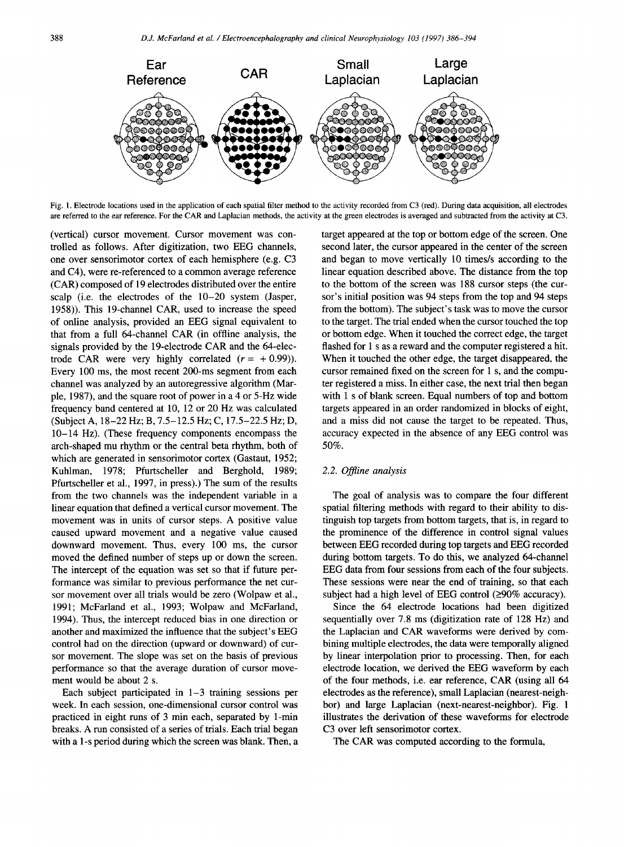

Fig. 1. Electrode locations used in the application of each spatial filter method to the activity recorded from C3 (red). During data acquisition, all electrodes are referred to the ear reference. For the CAR and Laplacian methods, the activity at the green electrodes is averaged and subtracted from the activity at C3.

(vertical) cursor movement. Cursor movement was controlled as follows. After digitization, two EEG channels, one over sensorimotor cortex of each hemisphere (e.g. C3 and C4), were re-referenced to a common average reference (CAR) composed of 19 electrodes distributed over the entire scalp (i.e. the electrodes of the 10-20 system (Jasper, 1958)). This 19-channel CAR, used to increase the speed of online analysis, provided an EEG signal equivalent to that from a full 64-channel CAR (in offline analysis, the signals provided by the 19-electrode CAR and the 64-electrode CAR were very highly correlated  $(r = +0.99)$ ). Every 100 ms, the most recent 200-ms segment from each channel was analyzed by an autoregressive algorithm (Marple, 1987), and the square root of power in a 4 or 5-Hz wide frequency band centered at 10, 12 or 20 Hz was calculated (Subject A, 18-22 Hz; B, 7.5-12.5 Hz; C, 17.5-22.5 Hz; D, 10-14 Hz). (These frequency components encompass the arch-shaped mu rhythm or the central beta rhythm, both of which are generated in sensorimotor cortex (Gastaut, 1952; Kuhlman, 1978; Pfurtscheller and Berghold, 1989; Pfurtscheller et al., 1997, in press).) The sum of the results from the two channels was the independent variable in a linear equation that defined a vertical cursor movement. The movement was in units of cursor steps. A positive value caused upward movement and a negative value caused downward movement. Thus, every 100 ms, the cursor moved the defined number of steps up or down the screen. The intercept of the equation was set so that if future performance was similar to previous performance the net cursor movement over all trials would be zero (Wolpaw et al., 1991; McFarland et al., 1993; Wolpaw and McFarland, 1994). Thus, the intercept reduced bias in one direction or another and maximized the influence that the subject's EEG control had on the direction (upward or downward) of cursor movement. The slope was set on the basis of previous performance so that the average duration of cursor movement would be about 2 s.

Each subject participated in  $1-3$  training sessions per week. In each session, one-dimensional cursor control was practiced in eight runs of 3 min each, separated by 1-min breaks. A run consisted of a series of trials. Each trial began with a 1-s period during which the screen was blank. Then, a target appeared at the top or bottom edge of the screen. One second later, the cursor appeared in the center of the screen and began to move vertically 10 times/s according to the linear equation described above. The distance from the top to the bottom of the screen was 188 cursor steps (the cursor's initial position was 94 steps from the top and 94 steps from the bottom). The subject's task was to move the cursor to the target. The trial ended when the cursor touched the top or bottom edge. When it touched the correct edge, the target flashed for 1 s as a reward and the computer registered a hit. When it touched the other edge, the target disappeared, the cursor remained fixed on the screen for 1 s, and the computer registered a miss. In either case, the next trial then began with 1 s of blank screen. Equal numbers of top and bottom targets appeared in an order randomized in blocks of eight, and a miss did not cause the target to be repeated. Thus, accuracy expected in the absence of any EEG control was 50%.

#### *2.2. Offiine analysis*

The goal of analysis was to compare the four different spatial filtering methods with regard to their ability to distinguish top targets from bottom targets, that is, in regard to the prominence of the difference in control signal values between EEG recorded during top targets and EEG recorded during bottom targets. To do this, we analyzed 64-channel EEG data from four sessions from each of the four subjects. These sessions were near the end of training, so that each subject had a high level of EEG control  $(290\% \text{ accuracy}).$ 

Since the 64 electrode locations had been digitized sequentially over 7.8 ms (digitization rate of 128 Hz) and the Laplacian and CAR waveforms were derived by combining multiple electrodes, the data were temporally aligned by linear interpolation prior to processing. Then, for each electrode location, we derived the EEG waveform by each of the four methods, i.e. ear reference, CAR (using all 64 electrodes as the reference), small Laplacian (nearest-neighbor) and large Laplacian (next-nearest-neighbor). Fig. 1 illustrates the derivation of these waveforms for electrode C3 over left sensorimotor cortex.

The CAR was computed according to the formula,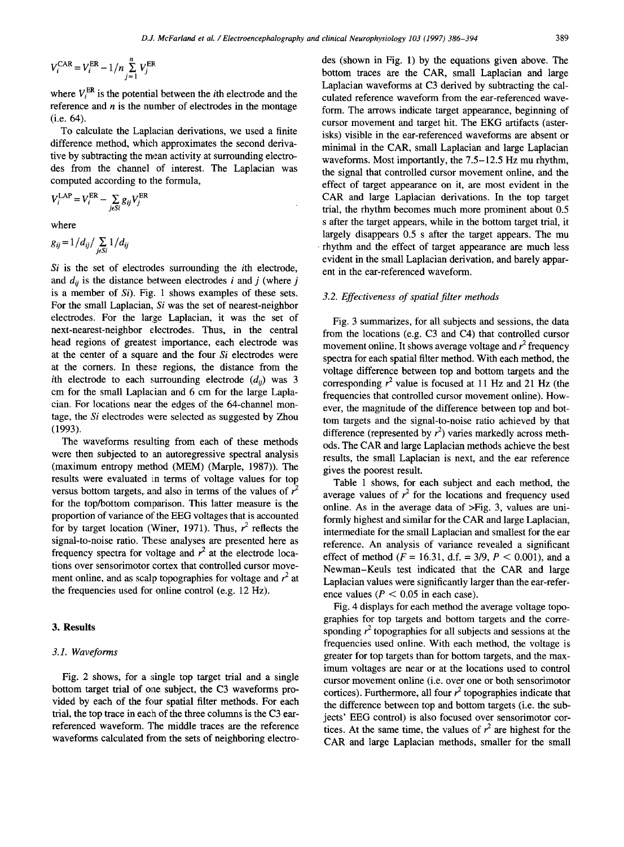$$
V_i^{\text{CAR}} = V_i^{\text{ER}} - 1/n \sum_{j=1}^{n} V_j^{\text{ER}}
$$

where  $V_i^{ER}$  is the potential between the *i*th electrode and the reference and  $n$  is the number of electrodes in the montage (i.e. 64).

To calculate the Laplacian derivations, we used a finite difference method, which approximates the second derivative by subtracting the mean activity at surrounding electrodes from the channel of interest. The Laplacian was computed according to the formula,

$$
V_i^{\text{LAP}} = V_i^{\text{ER}} - \sum_{j \in SI} g_{ij} V_j^{\text{ER}}
$$

where

$$
g_{ij}=1/d_{ij}/\sum_{j\in Si}1/d_{ij}
$$

*Si* is the set of electrodes surrounding the ith electrode, and  $d_{ij}$  is the distance between electrodes i and j (where  $j$ is a member of *Si).* Fig. 1 shows examples of these sets. For the small Laplacian, *Si* was the set of nearest-neighbor electrodes. For the large Laplacian, it was the set of next-nearest-neighbor electrodes. Thus, in the central head regions of greatest importance, each electrode was at the center of a square and the four *Si* electrodes were at the comers. In these regions, the distance from the ith electrode to each surrounding electrode  $(d_{ii})$  was 3 cm for the small Laplacian and 6 cm for the large Laplacian. For locations near the edges of the 64-channel montage, the *Si* electrodes were selected as suggested by Zhou (1993).

The waveforms resulting from each of these methods were then subjected to an autoregressive spectral analysis (maximum entropy method (MEM) (Marple, 1987)). The results were evaluated in terms of voltage values for top versus bottom targets, and also in terms of the values of  $r^2$ for the top/bottom comparison. This latter measure is the proportion of variance of the EEG voltages that is accounted for by target location (Winer, 1971). Thus,  $r^2$  reflects the signal-to-noise ratio. These analyses are presented here as frequency spectra for voltage and  $r^2$  at the electrode locations over sensorimotor cortex that controlled cursor movement online, and as scalp topographies for voltage and  $r<sup>2</sup>$  at the frequencies used for online control (e.g. 12 Hz).

## **3. Results**

### *3.1. Waveforms*

Fig. 2 shows, for a single top target trial and a single bottom target trial of one subject, the C3 waveforms provided by each of the four spatial filter methods. For each trial, the top trace in each of the three columns is the C3 earreferenced waveform. The middle traces are the reference waveforms calculated from the sets of neighboring electrodes (shown in Fig. 1) by the equations given above. The bottom traces are the CAR, small Laplacian and large Laplacian waveforms at C3 derived by subtracting the calculated reference waveform from the ear-referenced waveform. The arrows indicate target appearance, beginning of cursor movement and target hit. The EKG artifacts (asterisks) visible in the ear-referenced waveforms are absent or minimal in the CAR, small Laplacian and large Laplacian waveforms. Most importantly, the 7.5-12.5 Hz mu rhythm, the signal that controlled cursor movement online, and the effect of target appearance on it, are most evident in the CAR and large Laplacian derivations. In the top target trial, the rhythm becomes much more prominent about 0.5 s after the target appears, while in the bottom target trial, it largely disappears 0.5 s after the target appears. The mu rhythm and the effect of target appearance are much less evident in the small Laplacian derivation, and barely apparent in the ear-referenced waveform.

### *3.2. Effectiveness of spatial filter methods*

Fig. 3 summarizes, for all subjects and sessions, the data from the locations (e.g. C3 and C4) that controlled cursor movement online. It shows average voltage and  $r^2$  frequency spectra for each spatial filter method. With each method, the voltage difference between top and bottom targets and the corresponding  $r^2$  value is focused at 11 Hz and 21 Hz (the frequencies that controlled cursor movement online). However, the magnitude of the difference between top and bottom targets and the signal-to-noise ratio achieved by that difference (represented by  $r^2$ ) varies markedly across methods. The CAR and large Laplacian methods achieve the best results, the small Laplacian is next, and the ear reference gives the poorest result.

Table 1 shows, for each subject and each method, the average values of  $r^2$  for the locations and frequency used online. As in the average data of >Fig. 3, values are uniformly highest and similar for the CAR and large Laplacian, intermediate for the small Laplacian and smallest for the ear reference. An analysis of variance revealed a significant effect of method ( $F = 16.31$ , d.f. = 3/9,  $P < 0.001$ ), and a Newman-Keuls test indicated that the CAR and large Laplacian values were significantly larger than the ear-reference values ( $P < 0.05$  in each case).

Fig. 4 displays for each method the average voltage topographies for top targets and bottom targets and the corresponding  $r^2$  topographies for all subjects and sessions at the frequencies used online. With each method, the voltage is greater for top targets than for bottom targets, and the maximum voltages are near or at the locations used to control cursor movement online (i.e. over one or both sensorimotor cortices). Furthermore, all four  $r^2$  topographies indicate that the difference between top and bottom targets (i.e. the subjects' EEG control) is also focused over sensorimotor cortices. At the same time, the values of  $r^2$  are highest for the CAR and large Laplacian methods, smaller for the small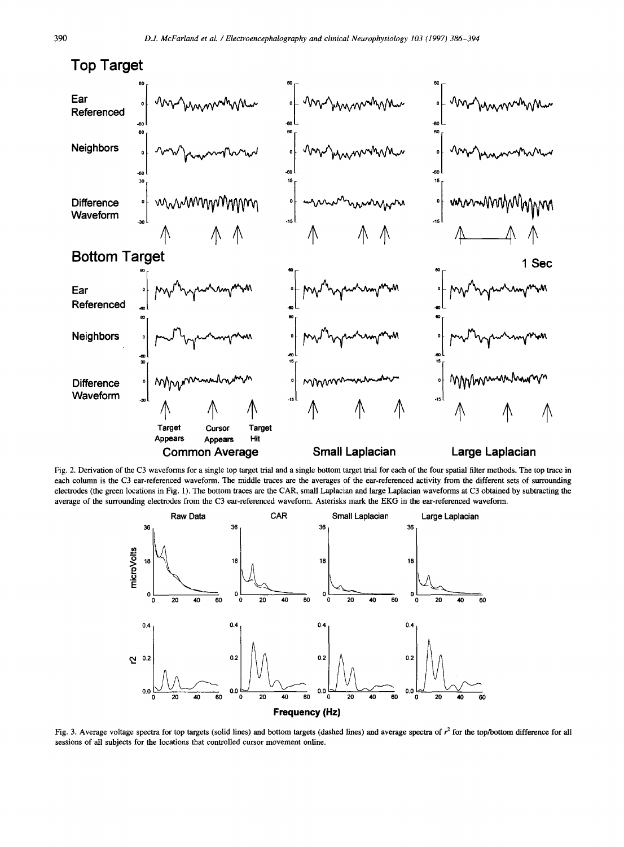

Fig. 2. Derivation of the C3 waveforms for a single top target trial and a single bottom target trial for each of the four spatial filter methods. The top trace in each column is the C3 ear-referenced waveform. The middle traces are the averages of the ear-referenced activity from the different sets of surrounding electrodes (the green locations in Fig. 1). The bottom traces are the CAR, small Laplacian and large Laplacian waveforms at C3 obtained by subtracting the average of the surrounding electrodes from the C3 ear-referenced waveform. Asterisks mark the EKG in the ear-referenced waveform.



Fig. 3. Average voltage spectra for top targets (solid lines) and bottom targets (dashed lines) and average spectra of  $r^2$  for the top/bottom difference for all sessions of all subjects for the locations that controlled cursor movement online.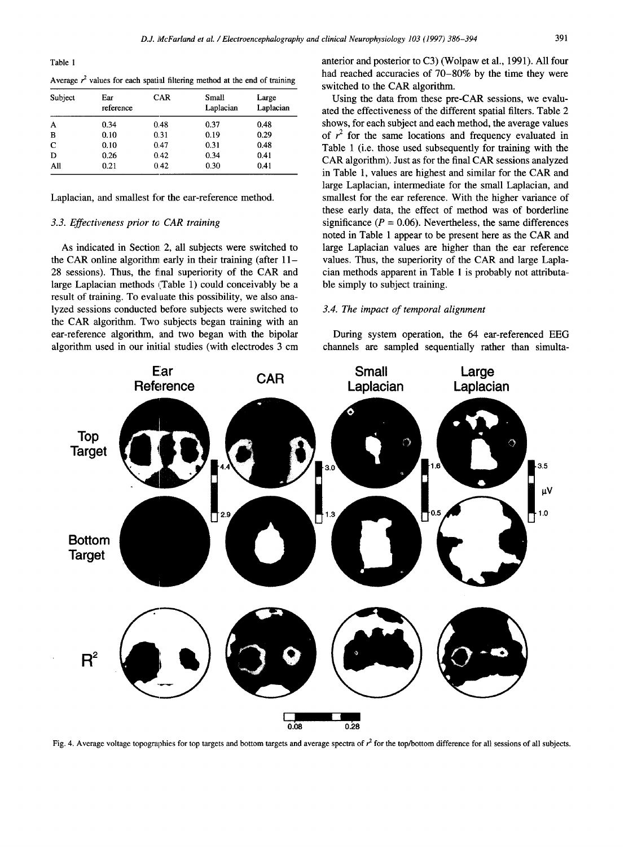Table 1 Average  $r^2$  values for each spatial filtering method at the end of training

| Subject | Ear<br>reference | <b>CAR</b> | <b>Small</b><br>Laplacian | Large<br>Laplacian |
|---------|------------------|------------|---------------------------|--------------------|
| A       | 0.34             | 0.48       | 0.37                      | 0.48               |
| в       | 0.10             | 0.31       | 0.19                      | 0.29               |
| C       | 0.10             | 0.47       | 0.31                      | 0.48               |
| D       | 0.26             | 0.42       | 0.34                      | 0.41               |
| All     | 0.21             | 0.42       | 0.30                      | 0.41               |

Laplacian, and smallest for the ear-reference method.

## *3.3. Effectiveness prior to CAR training*

As indicated in Section 2, all subjects were switched to the CAR online algorithm early in their training (after 11- 28 sessions). Thus, the final superiority of the CAR and large Laplacian methods (Table 1) could conceivably be a result of training. To evaluate this possibility, we also analyzed sessions conducted before subjects were switched to the CAR algorithm. Two subjects began training with an ear-reference algorithm, and two began with the bipolar algorithm used in our initial studies (with electrodes 3 cm

anterior and posterior to C3) (Wolpaw et al., 1991). All four had reached accuracies of 70–80% by the time they were switched to the CAR algorithm.

Using the data from these pre-CAR sessions, we evaluated the effectiveness of the different spatial filters. Table 2 shows, for each subject and each method, the average values of  $r^2$  for the same locations and frequency evaluated in Table 1 (i.e. those used subsequently for training with the CAR algorithm). Just as for the final CAR sessions analyzed in Table 1, values are highest and similar for the CAR and large Laplacian, intermediate for the small Laplacian, and smallest for the ear reference. With the higher variance of these early data, the effect of method was of borderline significance ( $P = 0.06$ ). Nevertheless, the same differences noted in Table 1 appear to be present here as the CAR and large Laplacian values are higher than the ear reference values. Thus, the superiority of the CAR and large Laplacian methods apparent in Table 1 is probably not attributable simply to subject training.

## *3.4. The impact of temporal alignment*

During system operation, the 64 ear-referenced EEG channels are sampled sequentially rather than simulta-



Fig. 4. Average voltage topographies for top targets and bottom targets and average spectra of  $r^2$  for the top/bottom difference for all sessions of all subjects.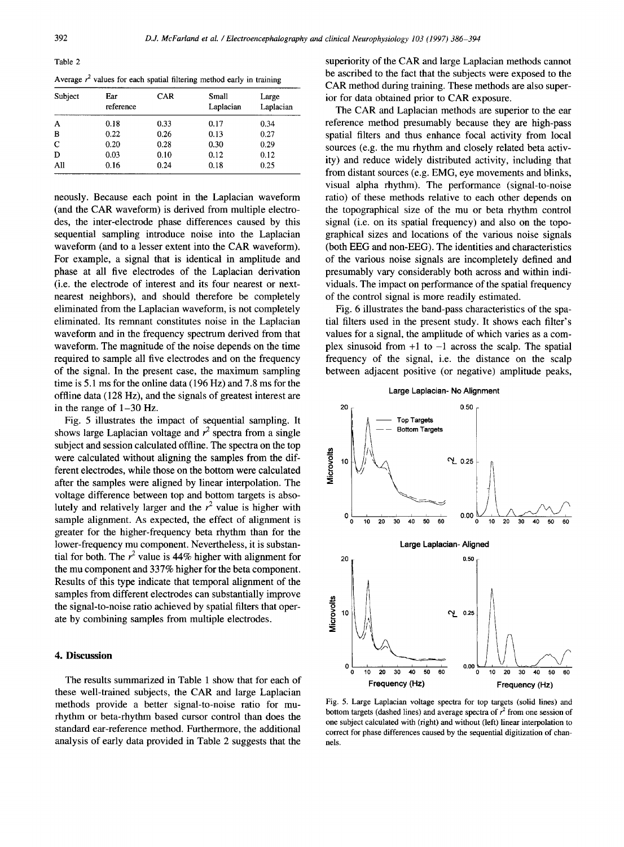Table 2

Average  $r^2$  values for each spatial filtering method early in training

| Subject | Ear<br>reference | <b>CAR</b> | Small<br>Laplacian | Large<br>Laplacian |
|---------|------------------|------------|--------------------|--------------------|
| A       | 0.18             | 0.33       | 0.17               | 0.34               |
| B       | 0.22             | 0.26       | 0.13               | 0.27               |
| C       | 0.20             | 0.28       | 0.30               | 0.29               |
| D       | 0.03             | 0.10       | 0.12               | 0.12               |
| All     | 0.16             | 0.24       | 0.18               | 0.25               |
|         |                  |            |                    |                    |

neously. Because each point in the Laplacian waveform (and the CAR waveform) is derived from multiple electrodes, the inter-electrode phase differences caused by this sequential sampling introduce noise into the Laplacian waveform (and to a lesser extent into the CAR waveform). For example, a signal that is identical in amplitude and phase at all five electrodes of the Laplacian derivation (i.e. the electrode of interest and its four nearest or nextnearest neighbors), and should therefore be completely eliminated from the Laplacian waveform, is not completely eliminated. Its remnant constitutes noise in the Laplacian waveform and in the frequency spectrum derived from that waveform. The magnitude of the noise depends on the time required to sample all five electrodes and on the frequency of the signal. In the present case, the maximum sampling time is 5.1 ms for the online data (196 Hz) and 7.8 ms for the offline data (128 Hz), and the signals of greatest interest are in the range of  $1-30$  Hz.

Fig. 5 illustrates the impact of sequential sampling. It shows large Laplacian voltage and  $r^2$  spectra from a single subject and session calculated offline. The spectra on the top were calculated without aligning the samples from the different electrodes, while those on the bottom were calculated after the samples were aligned by linear interpolation. The voltage difference between top and bottom targets is absolutely and relatively larger and the  $r^2$  value is higher with sample alignment. As expected, the effect of alignment is greater for the higher-frequency beta rhythm than for the lower-frequency mu component. Nevertheless, it is substantial for both. The  $r^2$  value is 44% higher with alignment for the mu component and 337% higher for the beta component. Results of this type indicate that temporal alignment of the samples from different electrodes can substantially improve the signal-to-noise ratio achieved by spatial filters that operate by combining samples from multiple electrodes.

## **4. Discussion**

The results summarized in Table 1 show that for each of these well-trained subjects, the CAR and large Laplacian methods provide a better signal-to-noise ratio for murhythm or beta-rhythm based cursor control than does the standard ear-reference method. Furthermore, the additional analysis of early data provided in Table 2 suggests that the

superiority of the CAR and large Laplacian methods cannot be ascribed to the fact that the subjects were exposed to the CAR method during training. These methods are also superior for data obtained prior to CAR exposure.

The CAR and Laplacian methods are superior to the ear reference method presumably because they are high-pass spatial filters and thus enhance focal activity from local sources (e.g. the mu rhythm and closely related beta activity) and reduce widely distributed activity, including that from distant sources (e.g. EMG, eye movements and blinks, visual alpha rhythm). The performance (signal-to-noise ratio) of these methods relative to each other depends on the topographical size of the mu or beta rhythm control signal (i.e. on its spatial frequency) and also on the topographical sizes and locations of the various noise signals (both EEG and non-EEG). The identities and characteristics of the various noise signals are incompletely defined and presumably vary considerably both across and within individuals. The impact on performance of the spatial frequency of the control signal is more readily estimated.

Fig. 6 illustrates the band-pass characteristics of the spatial filters used in the present study. It shows each filter's values for a signal, the amplitude of which varies as a complex sinusoid from  $+1$  to  $-1$  across the scalp. The spatial frequency of the signal, i.e. the distance on the scalp between adjacent positive (or negative) amplitude peaks,



Fig. 5, Large Laplacian voltage spectra for top targets (solid lines) and bottom targets (dashed lines) and average spectra of  $r<sup>2</sup>$  from one session of one subject calculated with (right) and without (left) linear interpolation to correct for phase differences caused by the sequential digitization of channels.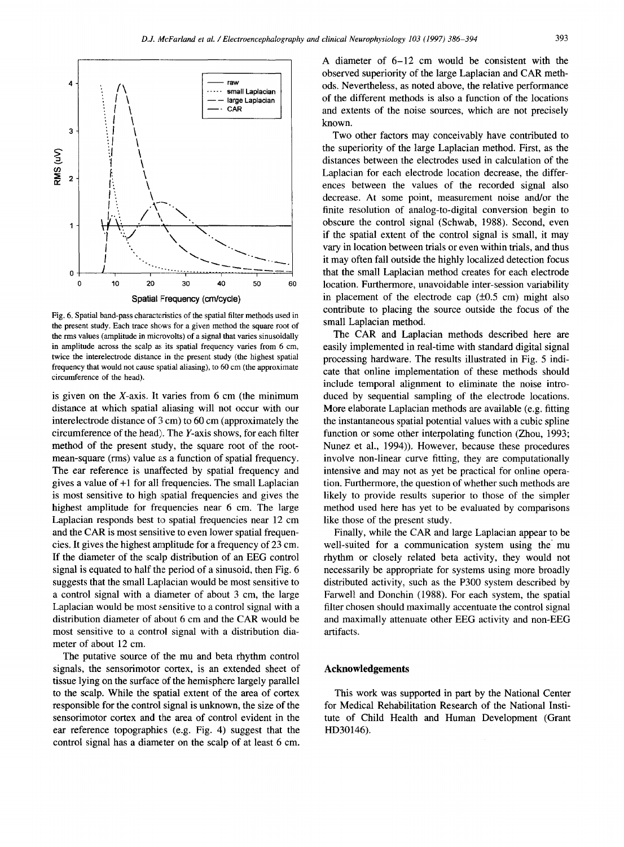

Fig. 6. Spatial band-pass characteristics of the spatial filter methods used in the present study. Each trace shows for a given method the square root of the rms values (amplitude in microvolts) of a signal that varies sinusoidally in amplitude across the scalp as its spatial frequency varies from 6 cm, twice the interelectrode distance in the present study (the highest spatial frequency that would not cause spatial aliasing), to 60 cm (the approximate circumference of the head).

is given on the  $X$ -axis. It varies from 6 cm (the minimum distance at which spatial aliasing will not occur with our interelectrode distance of  $3 \text{ cm}$ ) to  $60 \text{ cm}$  (approximately the circumference of the head). The Y-axis shows, for each filter method of the present study, the square root of the rootmean-square (rms) value as a function of spatial frequency. The ear reference is unaffected by spatial frequency and gives a value of +1 for all frequencies. The small Laplacian is most sensitive to high spatial frequencies and gives the highest amplitude for frequencies near 6 cm. The large Laplacian responds best to spatial frequencies near 12 cm and the CAR is most sensitive to even lower spatial frequencies. It gives the highest amplitude for a frequency of 23 cm. If the diameter of the scalp distribution of an EEG control signal is equated to half the period of a sinusoid, then Fig. 6 suggests that the small Laplacian would be most sensitive to a control signal with a diameter of about 3 cm, the large Laplacian would be most sensitive to a control signal with a distribution diameter of about 6 cm and the CAR would be most sensitive to a control signal with a distribution diameter of about 12 cm.

The putative source of the mu and beta rhythm control signals, the sensorimotor cortex, is an extended sheet of tissue lying on the surface of the hemisphere largely parallel to the scalp. While the spatial extent of the area of cortex responsible for the control signal is unknown, the size of the sensorimotor cortex and the area of control evident in the ear reference topographies (e.g. Fig. 4) suggest that the control signal has a diameter on the scalp of at least 6 cm.

A diameter of 6-12 cm would be consistent with the observed superiority of the large Laplacian and CAR methods. Nevertheless, as noted above, the relative performance of the different methods is also a function of the locations and extents of the noise sources, which are not precisely known.

Two other factors may conceivably have contributed to the superiority of the large Laplacian method. First, as the distances between the electrodes used in calculation of the Laplacian for each electrode location decrease, the differences between the values of the recorded signal also decrease. At some point, measurement noise and/or the finite resolution of analog-to-digital conversion begin to obscure the control signal (Schwab, 1988). Second, even if the spatial extent of the control signal is small, it may vary in location between trials or even within trials, and thus it may often fall outside the highly localized detection focus that the small Laplacian method creates for each electrode location. Furthermore, unavoidable inter-session variability in placement of the electrode cap  $(\pm 0.5 \text{ cm})$  might also contribute to placing the source outside the focus of the small Laplacian method.

The CAR and Laplacian methods described here are easily implemented in real-time with standard digital signal processing hardware. The results illustrated in Fig. 5 indicate that online implementation of these methods should include temporal alignment to eliminate the noise introduced by sequential sampling of the electrode locations. More elaborate Laplacian methods are available (e.g. fitting the instantaneous spatial potential values with a cubic spline function or some other interpolating function (Zhou, 1993; Nunez et al., 1994)). However, because these procedures involve non-linear curve fitting, they are computationally intensive and may not as yet be practical for online operation. Furthermore, the question of whether such methods are likely to provide results superior to those of the simpler method used here has yet to be evaluated by comparisons like those of the present study.

Finally, while the CAR and large Laplacian appear to be well-suited for a communication system using the' mu rhythm or closely related beta activity, they would not necessarily be appropriate for systems using more broadly distributed activity, such as the P300 system described by Farwell and Donchin (1988). For each system, the spatial filter chosen should maximally accentuate the control signal and maximally attenuate other EEG activity and non-EEG artifacts.

### **Acknowledgements**

This work was supported in part by the National Center for Medical Rehabilitation Research of the National Institute of Child Health and Human Development (Grant HD30146).